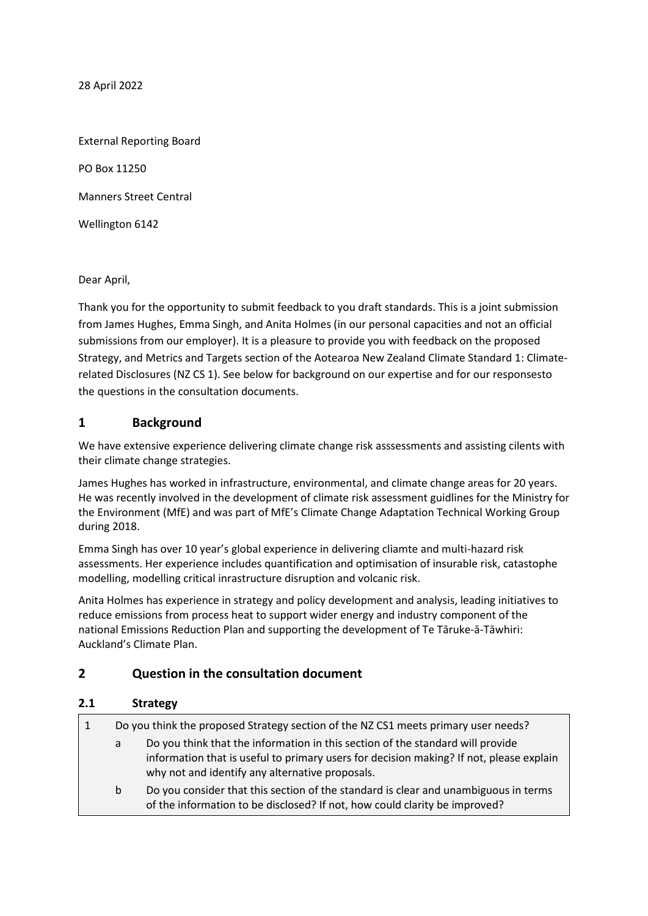28 April 2022

External Reporting Board PO Box 11250 Manners Street Central Wellington 6142

Dear April,

Thank you for the opportunity to submit feedback to you draft standards. This is a joint submission from James Hughes, Emma Singh, and Anita Holmes (in our personal capacities and not an official submissions from our employer). It is a pleasure to provide you with feedback on the proposed Strategy, and Metrics and Targets section of the Aotearoa New Zealand Climate Standard 1: Climaterelated Disclosures (NZ CS 1). See below for background on our expertise and for our responsesto the questions in the consultation documents.

## **1 Background**

We have extensive experience delivering climate change risk asssessments and assisting cilents with their climate change strategies.

James Hughes has worked in infrastructure, environmental, and climate change areas for 20 years. He was recently involved in the development of climate risk assessment guidlines for the Ministry for the Environment (MfE) and was part of MfE's Climate Change Adaptation Technical Working Group during 2018.

Emma Singh has over 10 year's global experience in delivering cliamte and multi-hazard risk assessments. Her experience includes quantification and optimisation of insurable risk, catastophe modelling, modelling critical inrastructure disruption and volcanic risk.

Anita Holmes has experience in strategy and policy development and analysis, leading initiatives to reduce emissions from process heat to support wider energy and industry component of the national Emissions Reduction Plan and supporting the development of Te Tāruke-ā-Tāwhiri: Auckland's Climate Plan.

## **2 Question in the consultation document**

## **2.1 Strategy**

| $\vert$ 1 | Do you think the proposed Strategy section of the NZ CS1 meets primary user needs? |                                                                                                                                                                                                                              |
|-----------|------------------------------------------------------------------------------------|------------------------------------------------------------------------------------------------------------------------------------------------------------------------------------------------------------------------------|
|           | a                                                                                  | Do you think that the information in this section of the standard will provide<br>information that is useful to primary users for decision making? If not, please explain<br>why not and identify any alternative proposals. |
|           | b                                                                                  | Do you consider that this section of the standard is clear and unambiguous in terms<br>of the information to be disclosed? If not, how could clarity be improved?                                                            |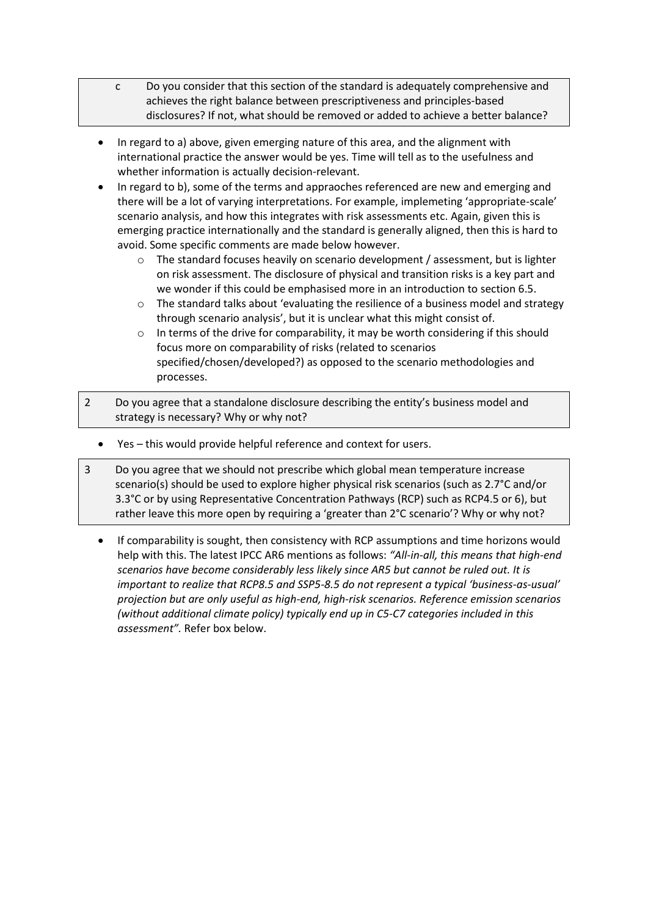- c Do you consider that this section of the standard is adequately comprehensive and achieves the right balance between prescriptiveness and principles-based disclosures? If not, what should be removed or added to achieve a better balance?
- In regard to a) above, given emerging nature of this area, and the alignment with international practice the answer would be yes. Time will tell as to the usefulness and whether information is actually decision-relevant.
- In regard to b), some of the terms and appraoches referenced are new and emerging and there will be a lot of varying interpretations. For example, implemeting 'appropriate-scale' scenario analysis, and how this integrates with risk assessments etc. Again, given this is emerging practice internationally and the standard is generally aligned, then this is hard to avoid. Some specific comments are made below however.
	- $\circ$  The standard focuses heavily on scenario development / assessment, but is lighter on risk assessment. The disclosure of physical and transition risks is a key part and we wonder if this could be emphasised more in an introduction to section 6.5.
	- $\circ$  The standard talks about 'evaluating the resilience of a business model and strategy through scenario analysis', but it is unclear what this might consist of.
	- o In terms of the drive for comparability, it may be worth considering if this should focus more on comparability of risks (related to scenarios specified/chosen/developed?) as opposed to the scenario methodologies and processes.
- 2 Do you agree that a standalone disclosure describing the entity's business model and strategy is necessary? Why or why not?
	- Yes this would provide helpful reference and context for users.
- 3 Do you agree that we should not prescribe which global mean temperature increase scenario(s) should be used to explore higher physical risk scenarios (such as 2.7°C and/or 3.3°C or by using Representative Concentration Pathways (RCP) such as RCP4.5 or 6), but rather leave this more open by requiring a 'greater than 2°C scenario'? Why or why not?
	- If comparability is sought, then consistency with RCP assumptions and time horizons would help with this. The latest IPCC AR6 mentions as follows: *"All-in-all, this means that high-end scenarios have become considerably less likely since AR5 but cannot be ruled out. It is important to realize that RCP8.5 and SSP5-8.5 do not represent a typical 'business-as-usual' projection but are only useful as high-end, high-risk scenarios. Reference emission scenarios (without additional climate policy) typically end up in C5-C7 categories included in this assessment".* Refer box below.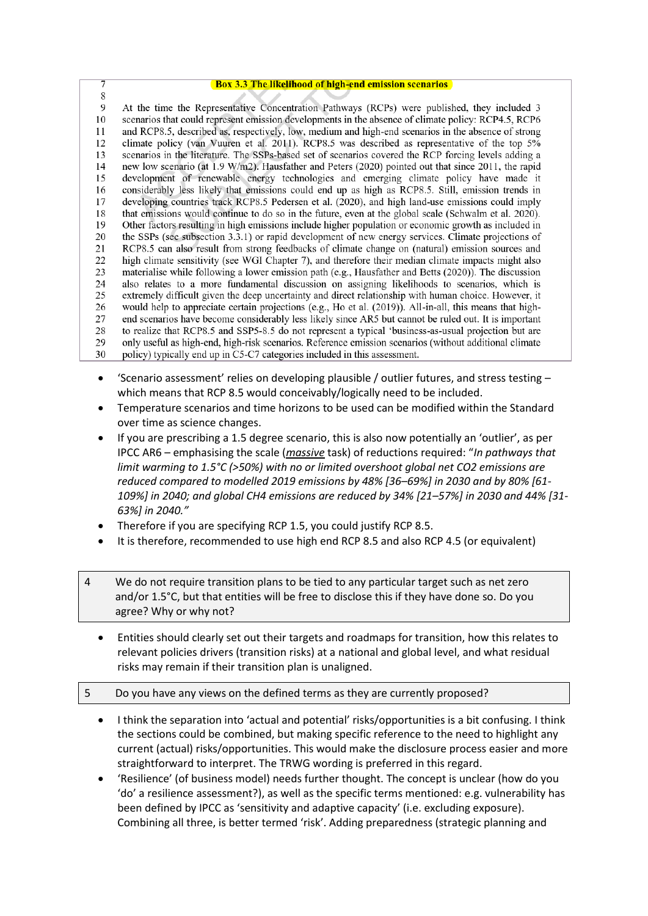| 7  | <b>Box 3.3 The likelihood of high-end emission scenarios</b>                                             |
|----|----------------------------------------------------------------------------------------------------------|
| 8  |                                                                                                          |
| 9  | At the time the Representative Concentration Pathways (RCPs) were published, they included 3             |
| 10 | scenarios that could represent emission developments in the absence of climate policy: RCP4.5, RCP6      |
| 11 | and RCP8.5, described as, respectively, low, medium and high-end scenarios in the absence of strong      |
| 12 | climate policy (van Vuuren et al. 2011). RCP8.5 was described as representative of the top 5%            |
| 13 | scenarios in the literature. The SSPs-based set of scenarios covered the RCP forcing levels adding a     |
| 14 | new low scenario (at 1.9 W/m2). Hausfather and Peters (2020) pointed out that since 2011, the rapid      |
| 15 | development of renewable energy technologies and emerging climate policy have made it                    |
| 16 | considerably less likely that emissions could end up as high as RCP8.5. Still, emission trends in        |
| 17 | developing countries track RCP8.5 Pedersen et al. (2020), and high land-use emissions could imply        |
| 18 | that emissions would continue to do so in the future, even at the global scale (Schwalm et al. 2020).    |
| 19 | Other factors resulting in high emissions include higher population or economic growth as included in    |
| 20 | the SSPs (see subsection 3.3.1) or rapid development of new energy services. Climate projections of      |
| 21 | RCP8.5 can also result from strong feedbacks of climate change on (natural) emission sources and         |
| 22 | high climate sensitivity (see WGI Chapter 7), and therefore their median climate impacts might also      |
| 23 | materialise while following a lower emission path (e.g., Hausfather and Betts $(2020)$ ). The discussion |
| 24 | also relates to a more fundamental discussion on assigning likelihoods to scenarios, which is            |
| 25 | extremely difficult given the deep uncertainty and direct relationship with human choice. However, it    |
| 26 | would help to appreciate certain projections (e.g., Ho et al. (2019)). All-in-all, this means that high- |
| 27 | end scenarios have become considerably less likely since AR5 but cannot be ruled out. It is important    |
| 28 | to realize that RCP8.5 and SSP5-8.5 do not represent a typical 'business-as-usual projection but are     |
| 29 | only useful as high-end, high-risk scenarios. Reference emission scenarios (without additional climate   |
| 30 | policy) typically end up in C5-C7 categories included in this assessment.                                |

- 'Scenario assessment' relies on developing plausible / outlier futures, and stress testing which means that RCP 8.5 would conceivably/logically need to be included.
- Temperature scenarios and time horizons to be used can be modified within the Standard over time as science changes.
- If you are prescribing a 1.5 degree scenario, this is also now potentially an 'outlier', as per IPCC AR6 – emphasising the scale (*massive* task) of reductions required: "*In pathways that limit warming to 1.5°C (>50%) with no or limited overshoot global net CO2 emissions are reduced compared to modelled 2019 emissions by 48% [36–69%] in 2030 and by 80% [61- 109%] in 2040; and global CH4 emissions are reduced by 34% [21–57%] in 2030 and 44% [31- 63%] in 2040."*
- Therefore if you are specifying RCP 1.5, you could justify RCP 8.5.
- It is therefore, recommended to use high end RCP 8.5 and also RCP 4.5 (or equivalent)
- 4 We do not require transition plans to be tied to any particular target such as net zero and/or 1.5°C, but that entities will be free to disclose this if they have done so. Do you agree? Why or why not?
	- Entities should clearly set out their targets and roadmaps for transition, how this relates to relevant policies drivers (transition risks) at a national and global level, and what residual risks may remain if their transition plan is unaligned.
- 5 Do you have any views on the defined terms as they are currently proposed?
	- I think the separation into 'actual and potential' risks/opportunities is a bit confusing. I think the sections could be combined, but making specific reference to the need to highlight any current (actual) risks/opportunities. This would make the disclosure process easier and more straightforward to interpret. The TRWG wording is preferred in this regard.
	- 'Resilience' (of business model) needs further thought. The concept is unclear (how do you 'do' a resilience assessment?), as well as the specific terms mentioned: e.g. vulnerability has been defined by IPCC as 'sensitivity and adaptive capacity' (i.e. excluding exposure). Combining all three, is better termed 'risk'. Adding preparedness (strategic planning and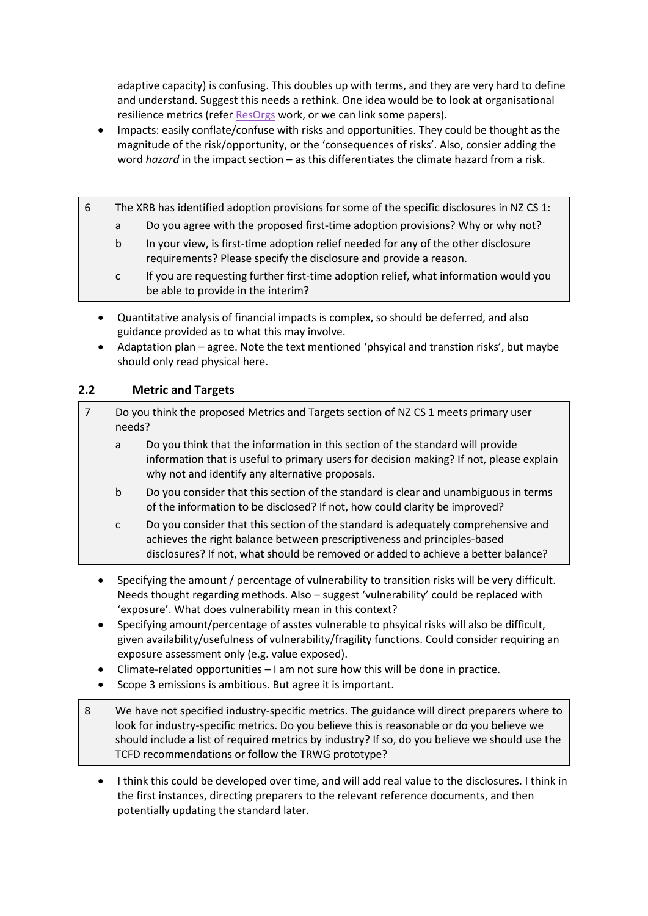adaptive capacity) is confusing. This doubles up with terms, and they are very hard to define and understand. Suggest this needs a rethink. One idea would be to look at organisational resilience metrics (refe[r ResOrgs](https://www.resorgs.org.nz/) work, or we can link some papers).

- Impacts: easily conflate/confuse with risks and opportunities. They could be thought as the magnitude of the risk/opportunity, or the 'consequences of risks'. Also, consier adding the word *hazard* in the impact section – as this differentiates the climate hazard from a risk.
- 6 The XRB has identified adoption provisions for some of the specific disclosures in NZ CS 1:
	- a Do you agree with the proposed first-time adoption provisions? Why or why not?
	- b In your view, is first-time adoption relief needed for any of the other disclosure requirements? Please specify the disclosure and provide a reason.
	- c If you are requesting further first-time adoption relief, what information would you be able to provide in the interim?
	- Quantitative analysis of financial impacts is complex, so should be deferred, and also guidance provided as to what this may involve.
	- Adaptation plan agree. Note the text mentioned 'phsyical and transtion risks', but maybe should only read physical here.

## **2.2 Metric and Targets**

| Do you think the proposed Metrics and Targets section of NZ CS 1 meets primary user<br>needs? |                                                                                                                                                                                                                                                    |  |
|-----------------------------------------------------------------------------------------------|----------------------------------------------------------------------------------------------------------------------------------------------------------------------------------------------------------------------------------------------------|--|
| a                                                                                             | Do you think that the information in this section of the standard will provide<br>information that is useful to primary users for decision making? If not, please explain<br>why not and identify any alternative proposals.                       |  |
| $\mathbf b$                                                                                   | Do you consider that this section of the standard is clear and unambiguous in terms<br>of the information to be disclosed? If not, how could clarity be improved?                                                                                  |  |
| $\mathsf{C}$                                                                                  | Do you consider that this section of the standard is adequately comprehensive and<br>achieves the right balance between prescriptiveness and principles-based<br>disclosures? If not, what should be removed or added to achieve a better balance? |  |

- Specifying the amount / percentage of vulnerability to transition risks will be very difficult. Needs thought regarding methods. Also – suggest 'vulnerability' could be replaced with 'exposure'. What does vulnerability mean in this context?
- Specifying amount/percentage of asstes vulnerable to phsyical risks will also be difficult, given availability/usefulness of vulnerability/fragility functions. Could consider requiring an exposure assessment only (e.g. value exposed).
- Climate-related opportunities  $-1$  am not sure how this will be done in practice.
- Scope 3 emissions is ambitious. But agree it is important.
- 8 We have not specified industry-specific metrics. The guidance will direct preparers where to look for industry-specific metrics. Do you believe this is reasonable or do you believe we should include a list of required metrics by industry? If so, do you believe we should use the TCFD recommendations or follow the TRWG prototype?
	- I think this could be developed over time, and will add real value to the disclosures. I think in the first instances, directing preparers to the relevant reference documents, and then potentially updating the standard later.